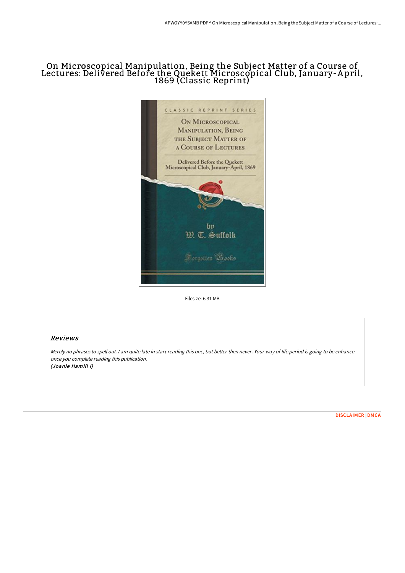## On Microscopical Manipulation, Being the Subject Matter of a Course of Lectures: Delivered Before the Quekett Microscopical Club, January-A pril, 1869 (Classic Reprint)



Filesize: 6.31 MB

## Reviews

Merely no phrases to spell out. <sup>I</sup> am quite late in start reading this one, but better then never. Your way of life period is going to be enhance once you complete reading this publication. (Joanie Hamill I)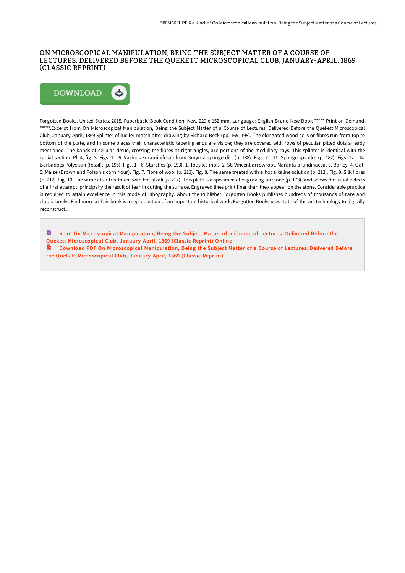## ON MICROSCOPICAL MANIPULATION, BEING THE SUBJECT MATTER OF A COURSE OF LECTURES: DELIVERED BEFORE THE QUEKETT MICROSCOPICAL CLUB, JANUARY-APRIL, 1869 (CLASSIC REPRINT)



Forgotten Books, United States, 2015. Paperback. Book Condition: New. 229 x 152 mm. Language: English Brand New Book \*\*\*\*\* Print on Demand \*\*\*\*\*.Excerpt from On Microscopical Manipulation, Being the Subject Matter of a Course of Lectures: Delivered Before the Quekett Microscopical Club, January-April, 1869 Splinter of lucifer match after drawing by Richard Beck (pp. 169, 198). The elongated wood cells or fibres run from top to bottom of the plate, and in some places their characteristic tapering ends are visible; they are covered with rows of peculiar pitted dots already mentioned. The bands of cellular tissue, crossing the fibres at right angles, are portions of the medullary rays. This splinter is identical with the radial section, Pl. 4, fig. 3. Figs. 1 - 6. Various Foraminiferae from Smyrna sponge dirt (p. 188). Figs. 7 - 11. Sponge spicules (p. 187). Figs. 12 - 14. Barbadoes Polycistin (fossil), (p. 195). Figs. 1 - 6. Starches (p. 193). 1. Tous les mois. 2. St. Vincent arrowroot, Maranta arundinacea. 3. Barley. 4. Oat. 5. Maize (Brown and Polson s corn flour). Fig. 7. Fibre of wool (p. 213). Fig. 8. The same treated with a hot alkaline solution (p. 213). Fig. 9. Silk fibres (p. 212). Fig. 10. The same after treatment with hot alkali (p. 212). This plate is a specimen of engraving on stone (p. 173), and shows the usual defects of a first attempt, principally the result of fear in cutting the surface. Engraved lines print finer than they appear on the stone. Considerable practice is required to attain excellence in this mode of lithography. About the Publisher Forgotten Books publishes hundreds of thousands of rare and classic books. Find more at This book is a reproduction of an important historical work. Forgotten Books uses state-of-the-art technology to digitally reconstruct

- Read On [Microscopical](http://www.bookdirs.com/on-microscopical-manipulation-being-the-subject-.html) Manipulation, Being the Subject Matter of a Course of Lectures: Delivered Before the Quekett Microscopical Club, Januar y-April, 1869 (Classic Reprint) Online
- Download PDF On [Microscopical](http://www.bookdirs.com/on-microscopical-manipulation-being-the-subject-.html) Manipulation, Being the Subject Matter of a Course of Lectures: Delivered Before the Quekett Microscopical Club, January-April, 1869 (Classic Reprint)